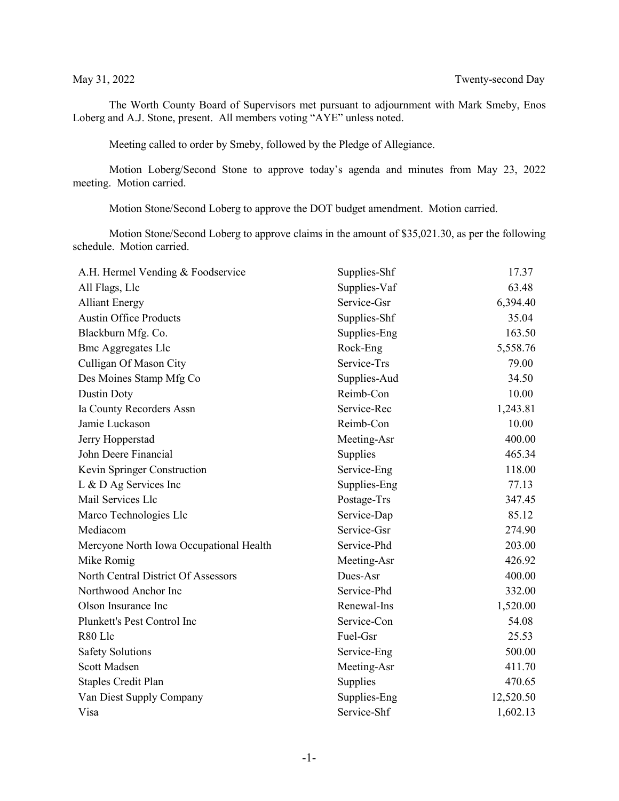The Worth County Board of Supervisors met pursuant to adjournment with Mark Smeby, Enos Loberg and A.J. Stone, present. All members voting "AYE" unless noted.

Meeting called to order by Smeby, followed by the Pledge of Allegiance.

Motion Loberg/Second Stone to approve today's agenda and minutes from May 23, 2022 meeting. Motion carried.

Motion Stone/Second Loberg to approve the DOT budget amendment. Motion carried.

Motion Stone/Second Loberg to approve claims in the amount of \$35,021.30, as per the following schedule. Motion carried.

| A.H. Hermel Vending & Foodservice       | Supplies-Shf | 17.37     |
|-----------------------------------------|--------------|-----------|
| All Flags, Llc                          | Supplies-Vaf | 63.48     |
| <b>Alliant Energy</b>                   | Service-Gsr  | 6,394.40  |
| <b>Austin Office Products</b>           | Supplies-Shf | 35.04     |
| Blackburn Mfg. Co.                      | Supplies-Eng | 163.50    |
| <b>Bmc Aggregates Llc</b>               | Rock-Eng     | 5,558.76  |
| Culligan Of Mason City                  | Service-Trs  | 79.00     |
| Des Moines Stamp Mfg Co                 | Supplies-Aud | 34.50     |
| Dustin Doty                             | Reimb-Con    | 10.00     |
| Ia County Recorders Assn                | Service-Rec  | 1,243.81  |
| Jamie Luckason                          | Reimb-Con    | 10.00     |
| Jerry Hopperstad                        | Meeting-Asr  | 400.00    |
| John Deere Financial                    | Supplies     | 465.34    |
| Kevin Springer Construction             | Service-Eng  | 118.00    |
| L & D Ag Services Inc                   | Supplies-Eng | 77.13     |
| Mail Services Llc                       | Postage-Trs  | 347.45    |
| Marco Technologies Llc                  | Service-Dap  | 85.12     |
| Mediacom                                | Service-Gsr  | 274.90    |
| Mercyone North Iowa Occupational Health | Service-Phd  | 203.00    |
| Mike Romig                              | Meeting-Asr  | 426.92    |
| North Central District Of Assessors     | Dues-Asr     | 400.00    |
| Northwood Anchor Inc                    | Service-Phd  | 332.00    |
| Olson Insurance Inc                     | Renewal-Ins  | 1,520.00  |
| Plunkett's Pest Control Inc             | Service-Con  | 54.08     |
| R80 Llc                                 | Fuel-Gsr     | 25.53     |
| <b>Safety Solutions</b>                 | Service-Eng  | 500.00    |
| Scott Madsen                            | Meeting-Asr  | 411.70    |
| <b>Staples Credit Plan</b>              | Supplies     | 470.65    |
| Van Diest Supply Company                | Supplies-Eng | 12,520.50 |
| Visa                                    | Service-Shf  | 1,602.13  |